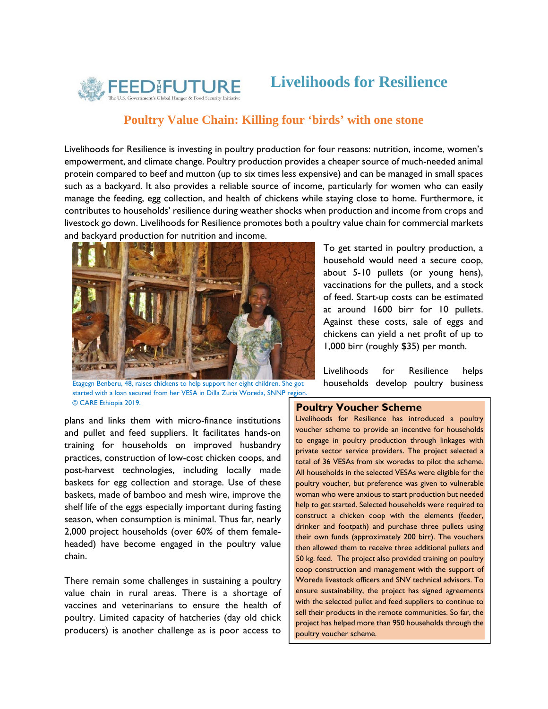

## **Livelihoods for Resilience**

## **Poultry Value Chain: Killing four 'birds' with one stone**

Livelihoods for Resilience is investing in poultry production for four reasons: nutrition, income, women's empowerment, and climate change. Poultry production provides a cheaper source of much-needed animal protein compared to beef and mutton (up to six times less expensive) and can be managed in small spaces such as a backyard. It also provides a reliable source of income, particularly for women who can easily manage the feeding, egg collection, and health of chickens while staying close to home. Furthermore, it contributes to households' resilience during weather shocks when production and income from crops and livestock go down. Livelihoods for Resilience promotes both a poultry value chain for commercial markets and backyard production for nutrition and income.



To get started in poultry production, a household would need a secure coop, about 5-10 pullets (or young hens), vaccinations for the pullets, and a stock of feed. Start-up costs can be estimated at around 1600 birr for 10 pullets. Against these costs, sale of eggs and chickens can yield a net profit of up to 1,000 birr (roughly \$35) per month.

Livelihoods for Resilience helps households develop poultry business

Etagegn Benberu, 48, raises chickens to help support her eight children. She got started with a loan secured from her VESA in Dilla Zuria Woreda, SNNP region. © CARE Ethiopia 2019. **Poultry Voucher Scheme** 

plans and links them with micro-finance institutions and pullet and feed suppliers. It facilitates hands-on training for households on improved husbandry practices, construction of low-cost chicken coops, and post-harvest technologies, including locally made baskets for egg collection and storage. Use of these baskets, made of bamboo and mesh wire, improve the shelf life of the eggs especially important during fasting season, when consumption is minimal. Thus far, nearly 2,000 project households (over 60% of them femaleheaded) have become engaged in the poultry value chain.

There remain some challenges in sustaining a poultry value chain in rural areas. There is a shortage of vaccines and veterinarians to ensure the health of poultry. Limited capacity of hatcheries (day old chick producers) is another challenge as is poor access to

Livelihoods for Resilience has introduced a poultry voucher scheme to provide an incentive for households to engage in poultry production through linkages with private sector service providers. The project selected a total of 36 VESAs from six woredas to pilot the scheme. All households in the selected VESAs were eligible for the poultry voucher, but preference was given to vulnerable woman who were anxious to start production but needed help to get started. Selected households were required to construct a chicken coop with the elements (feeder, drinker and footpath) and purchase three pullets using their own funds (approximately 200 birr). The vouchers then allowed them to receive three additional pullets and 50 kg. feed. The project also provided training on poultry coop construction and management with the support of Woreda livestock officers and SNV technical advisors. To ensure sustainability, the project has signed agreements with the selected pullet and feed suppliers to continue to sell their products in the remote communities. So far, the project has helped more than 950 households through the poultry voucher scheme.